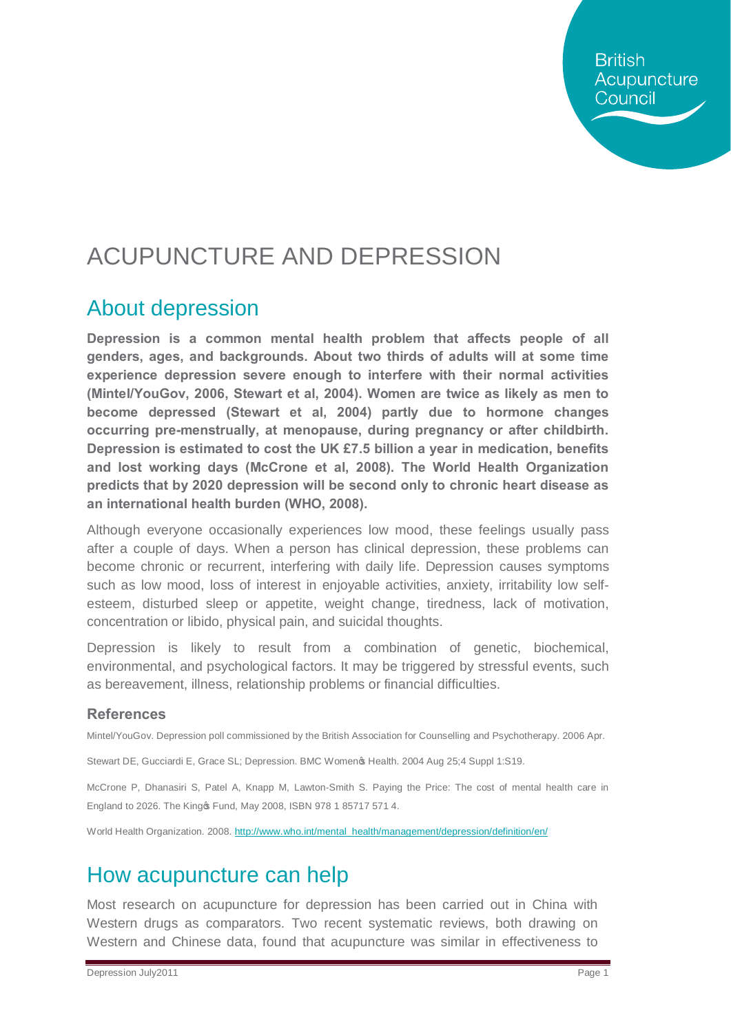**British** Acupuncture Council

# ACUPUNCTURE AND DEPRESSION

#### About depression

**Depression is a common mental health problem that affects people of all genders, ages, and backgrounds. About two thirds of adults will at some time experience depression severe enough to interfere with their normal activities (Mintel/YouGov, 2006, Stewart et al, 2004). Women are twice as likely as men to become depressed (Stewart et al, 2004) partly due to hormone changes occurring pre-menstrually, at menopause, during pregnancy or after childbirth. Depression is estimated to cost the UK £7.5 billion a year in medication, benefits and lost working days (McCrone et al, 2008). The World Health Organization predicts that by 2020 depression will be second only to chronic heart disease as an international health burden (WHO, 2008).**

Although everyone occasionally experiences low mood, these feelings usually pass after a couple of days. When a person has clinical depression, these problems can become chronic or recurrent, interfering with daily life. Depression causes symptoms such as low mood, loss of interest in enjoyable activities, anxiety, irritability low selfesteem, disturbed sleep or appetite, weight change, tiredness, lack of motivation, concentration or libido, physical pain, and suicidal thoughts.

Depression is likely to result from a combination of genetic, biochemical, environmental, and psychological factors. It may be triggered by stressful events, such as bereavement, illness, relationship problems or financial difficulties.

#### **References**

Mintel/YouGov. Depression poll commissioned by the British Association for Counselling and Psychotherapy. 2006 Apr.

Stewart DE, Gucciardi E, Grace SL; Depression. BMC Women & Health. 2004 Aug 25;4 Suppl 1:S19.

McCrone P, Dhanasiri S, Patel A, Knapp M, Lawton-Smith S. Paying the Price: The cost of mental health care in England to 2026. The King & Fund, May 2008, ISBN 978 1 85717 571 4.

World Health Organization. 2008. htt[p://www.who.int/mental\\_health/management/depression/definition/en/](http://www.who.int/mental_health/management/depression/definition/en/)

### How acupuncture can help

Most research on acupuncture for depression has been carried out in China with Western drugs as comparators. Two recent systematic reviews, both drawing on Western and Chinese data, found that acupuncture was similar in effectiveness to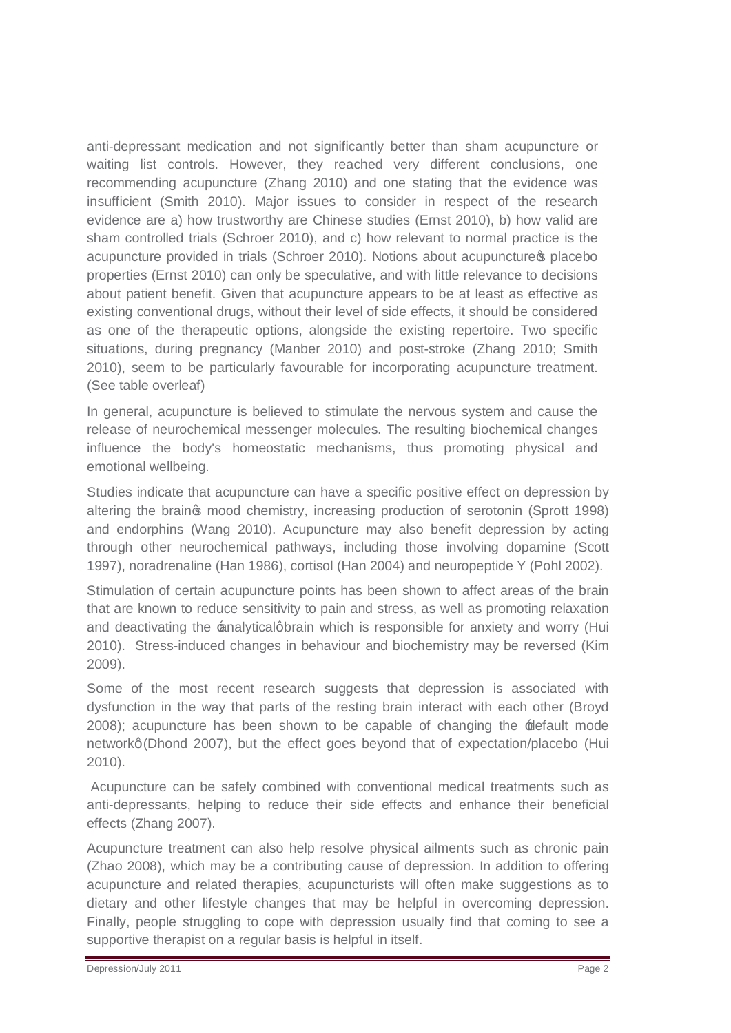anti-depressant medication and not significantly better than sham acupuncture or waiting list controls. However, they reached very different conclusions, one recommending acupuncture (Zhang 2010) and one stating that the evidence was insufficient (Smith 2010). Major issues to consider in respect of the research evidence are a) how trustworthy are Chinese studies (Ernst 2010), b) how valid are sham controlled trials (Schroer 2010), and c) how relevant to normal practice is the acupuncture provided in trials (Schroer 2010). Notions about acupuncture oplacebo properties (Ernst 2010) can only be speculative, and with little relevance to decisions about patient benefit. Given that acupuncture appears to be at least as effective as existing conventional drugs, without their level of side effects, it should be considered as one of the therapeutic options, alongside the existing repertoire. Two specific situations, during pregnancy (Manber 2010) and post-stroke (Zhang 2010; Smith 2010), seem to be particularly favourable for incorporating acupuncture treatment. (See table overleaf)

In general, acupuncture is believed to stimulate the nervous system and cause the release of neurochemical messenger molecules. The resulting biochemical changes influence the body's homeostatic mechanisms, thus promoting physical and emotional wellbeing.

Studies indicate that acupuncture can have a specific positive effect on depression by altering the braings mood chemistry, increasing production of serotonin (Sprott 1998) and endorphins (Wang 2010). Acupuncture may also benefit depression by acting through other neurochemical pathways, including those involving dopamine (Scott 1997), noradrenaline (Han 1986), cortisol (Han 2004) and neuropeptide Y (Pohl 2002).

Stimulation of certain acupuncture points has been shown to affect areas of the brain that are known to reduce sensitivity to pain and stress, as well as promoting relaxation and deactivating the analyticalgbrain which is responsible for anxiety and worry (Hui 2010). Stress-induced changes in behaviour and biochemistry may be reversed (Kim 2009).

Some of the most recent research suggests that depression is associated with dysfunction in the way that parts of the resting brain interact with each other (Broyd 2008); acupuncture has been shown to be capable of changing the 'default mode networkg (Dhond 2007), but the effect goes beyond that of expectation/placebo (Hui 2010).

Acupuncture can be safely combined with conventional medical treatments such as anti-depressants, helping to reduce their side effects and enhance their beneficial effects (Zhang 2007).

Acupuncture treatment can also help resolve physical ailments such as chronic pain (Zhao 2008), which may be a contributing cause of depression. In addition to offering acupuncture and related therapies, acupuncturists will often make suggestions as to dietary and other lifestyle changes that may be helpful in overcoming depression. Finally, people struggling to cope with depression usually find that coming to see a supportive therapist on a regular basis is helpful in itself.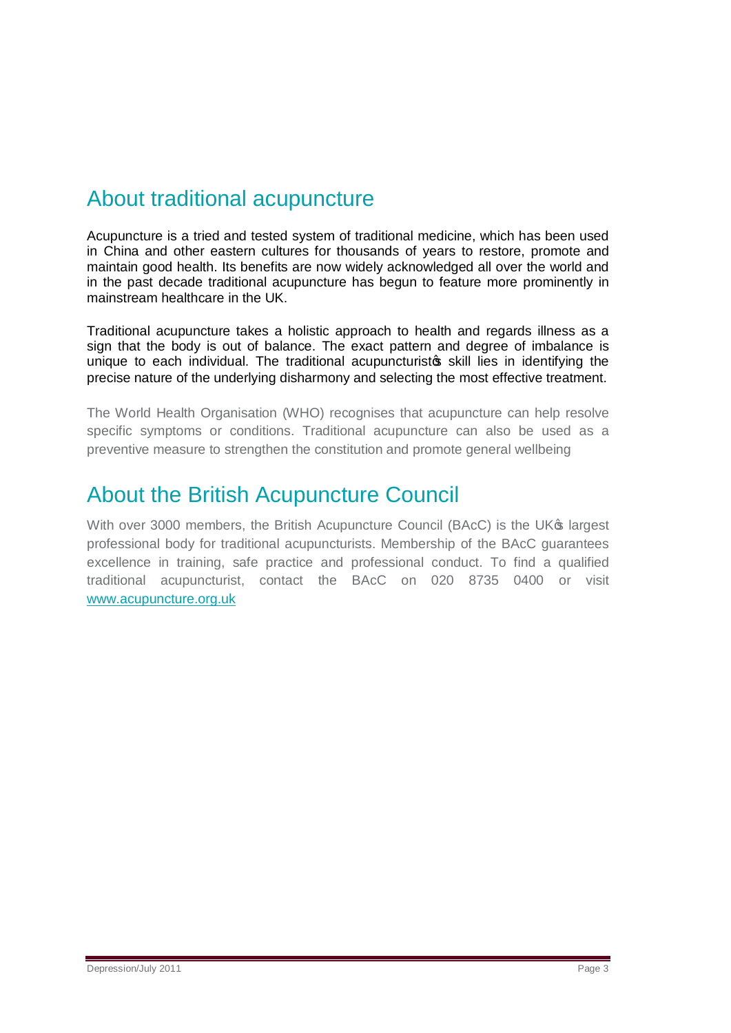## About traditional acupuncture

Acupuncture is a tried and tested system of traditional medicine, which has been used in China and other eastern cultures for thousands of years to restore, promote and maintain good health. Its benefits are now widely acknowledged all over the world and in the past decade traditional acupuncture has begun to feature more prominently in mainstream healthcare in the UK.

Traditional acupuncture takes a holistic approach to health and regards illness as a sign that the body is out of balance. The exact pattern and degree of imbalance is unique to each individual. The traditional acupuncturisto skill lies in identifying the precise nature of the underlying disharmony and selecting the most effective treatment.

The World Health Organisation (WHO) recognises that acupuncture can help resolve specific symptoms or conditions. Traditional acupuncture can also be used as a preventive measure to strengthen the constitution and promote general wellbeing

### About the British Acupuncture Council

With over 3000 members, the British Acupuncture Council (BAcC) is the UK<sup>®</sup> largest professional body for traditional acupuncturists. Membership of the BAcC guarantees excellence in training, safe practice and professional conduct. To find a qualified traditional acupuncturist, contact the BAcC on 020 8735 0400 or visit [www.acupuncture.org.uk](http://www.acupuncture.org.uk/)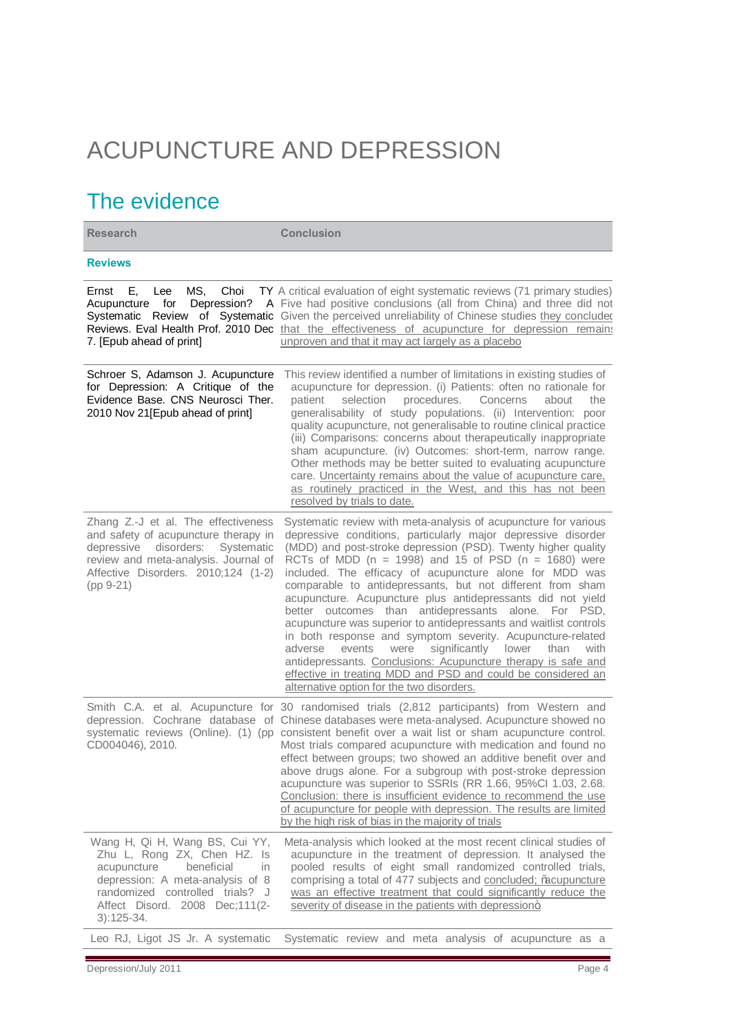# ACUPUNCTURE AND DEPRESSION

## The evidence

| <b>Research</b>                                                                                                                                                                                                              | <b>Conclusion</b>                                                                                                                                                                                                                                                                                                                                                                                                                                                                                                                                                                                                                                                                                                                                                                                                                                                                                         |
|------------------------------------------------------------------------------------------------------------------------------------------------------------------------------------------------------------------------------|-----------------------------------------------------------------------------------------------------------------------------------------------------------------------------------------------------------------------------------------------------------------------------------------------------------------------------------------------------------------------------------------------------------------------------------------------------------------------------------------------------------------------------------------------------------------------------------------------------------------------------------------------------------------------------------------------------------------------------------------------------------------------------------------------------------------------------------------------------------------------------------------------------------|
| <b>Reviews</b>                                                                                                                                                                                                               |                                                                                                                                                                                                                                                                                                                                                                                                                                                                                                                                                                                                                                                                                                                                                                                                                                                                                                           |
| MS.<br>Choi<br>Е.<br>Lee<br>Ernst<br>Acupuncture<br>for<br>7. [Epub ahead of print]                                                                                                                                          | TY A critical evaluation of eight systematic reviews (71 primary studies)<br><b>Depression?</b> A Five had positive conclusions (all from China) and three did not<br>Systematic Review of Systematic Given the perceived unreliability of Chinese studies they concluded<br>Reviews. Eval Health Prof. 2010 Dec that the effectiveness of acupuncture for depression remains<br>unproven and that it may act largely as a placebo                                                                                                                                                                                                                                                                                                                                                                                                                                                                        |
| Schroer S, Adamson J. Acupuncture<br>for Depression: A Critique of the<br>Evidence Base. CNS Neurosci Ther.<br>2010 Nov 21 [Epub ahead of print]                                                                             | This review identified a number of limitations in existing studies of<br>acupuncture for depression. (i) Patients: often no rationale for<br>patient<br>selection<br>procedures.<br>Concerns<br>about<br>the<br>generalisability of study populations. (ii) Intervention: poor<br>quality acupuncture, not generalisable to routine clinical practice<br>(iii) Comparisons: concerns about therapeutically inappropriate<br>sham acupuncture. (iv) Outcomes: short-term, narrow range.<br>Other methods may be better suited to evaluating acupuncture<br>care. Uncertainty remains about the value of acupuncture care.<br>as routinely practiced in the West, and this has not been<br>resolved by trials to date.                                                                                                                                                                                      |
| Zhang Z.-J et al. The effectiveness<br>and safety of acupuncture therapy in<br>disorders:<br>depressive<br>Systematic<br>review and meta-analysis. Journal of<br>Affective Disorders. 2010;124 (1-2)<br>$(pp 9-21)$          | Systematic review with meta-analysis of acupuncture for various<br>depressive conditions, particularly major depressive disorder<br>(MDD) and post-stroke depression (PSD). Twenty higher quality<br>RCTs of MDD ( $n = 1998$ ) and 15 of PSD ( $n = 1680$ ) were<br>included. The efficacy of acupuncture alone for MDD was<br>comparable to antidepressants, but not different from sham<br>acupuncture. Acupuncture plus antidepressants did not yield<br>better outcomes than antidepressants alone. For PSD,<br>acupuncture was superior to antidepressants and waitlist controls<br>in both response and symptom severity. Acupuncture-related<br>significantly<br>adverse<br>events<br>were<br>lower<br>than<br>with<br>antidepressants. Conclusions: Acupuncture therapy is safe and<br>effective in treating MDD and PSD and could be considered an<br>alternative option for the two disorders. |
| CD004046), 2010.                                                                                                                                                                                                             | Smith C.A. et al. Acupuncture for 30 randomised trials (2,812 participants) from Western and<br>depression. Cochrane database of Chinese databases were meta-analysed. Acupuncture showed no<br>systematic reviews (Online). (1) (pp consistent benefit over a wait list or sham acupuncture control.<br>Most trials compared acupuncture with medication and found no<br>effect between groups; two showed an additive benefit over and<br>above drugs alone. For a subgroup with post-stroke depression<br>acupuncture was superior to SSRIs (RR 1.66, 95%Cl 1.03, 2.68.<br>Conclusion: there is insufficient evidence to recommend the use<br>of acupuncture for people with depression. The results are limited<br>by the high risk of bias in the majority of trials                                                                                                                                 |
| Wang H, Qi H, Wang BS, Cui YY,<br>Zhu L, Rong ZX, Chen HZ. Is<br>acupuncture<br>beneficial<br>in<br>depression: A meta-analysis of 8<br>randomized controlled trials? J<br>Affect Disord. 2008 Dec;111(2-<br>$3): 125 - 34.$ | Meta-analysis which looked at the most recent clinical studies of<br>acupuncture in the treatment of depression. It analysed the<br>pooled results of eight small randomized controlled trials,<br>comprising a total of 477 subjects and concluded; % acupuncture<br>was an effective treatment that could significantly reduce the<br>severity of disease in the patients with depression+                                                                                                                                                                                                                                                                                                                                                                                                                                                                                                              |
| Leo RJ, Ligot JS Jr. A systematic                                                                                                                                                                                            | Systematic review and meta analysis of acupuncture as a                                                                                                                                                                                                                                                                                                                                                                                                                                                                                                                                                                                                                                                                                                                                                                                                                                                   |

Depression/July 2011 Page 4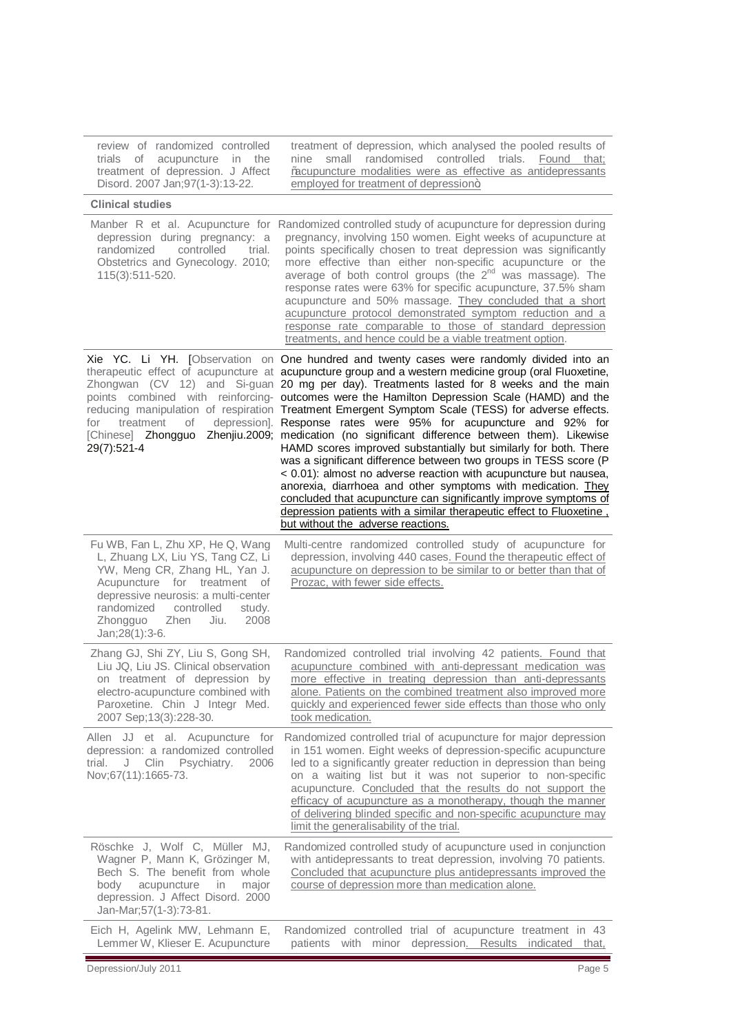| review of randomized controlled<br>trials of<br>acupuncture in the<br>treatment of depression. J Affect<br>Disord. 2007 Jan; 97(1-3): 13-22.                                                                                                                              | treatment of depression, which analysed the pooled results of<br>small randomised controlled trials. Found that;<br>nine<br>% examplementure modalities were as effective as antidepressants<br>employed for treatment of depression+                                                                                                                                                                                                                                                                                                                                                                                                                                                                                                                                                                                                                                                                                                                                                                                                                                                                                                  |
|---------------------------------------------------------------------------------------------------------------------------------------------------------------------------------------------------------------------------------------------------------------------------|----------------------------------------------------------------------------------------------------------------------------------------------------------------------------------------------------------------------------------------------------------------------------------------------------------------------------------------------------------------------------------------------------------------------------------------------------------------------------------------------------------------------------------------------------------------------------------------------------------------------------------------------------------------------------------------------------------------------------------------------------------------------------------------------------------------------------------------------------------------------------------------------------------------------------------------------------------------------------------------------------------------------------------------------------------------------------------------------------------------------------------------|
| <b>Clinical studies</b>                                                                                                                                                                                                                                                   |                                                                                                                                                                                                                                                                                                                                                                                                                                                                                                                                                                                                                                                                                                                                                                                                                                                                                                                                                                                                                                                                                                                                        |
| depression during pregnancy: a<br>randomized<br>controlled<br>trial.<br>Obstetrics and Gynecology. 2010;<br>115(3):511-520.                                                                                                                                               | Manber R et al. Acupuncture for Randomized controlled study of acupuncture for depression during<br>pregnancy, involving 150 women. Eight weeks of acupuncture at<br>points specifically chosen to treat depression was significantly<br>more effective than either non-specific acupuncture or the<br>average of both control groups (the $2^{nd}$ was massage). The<br>response rates were 63% for specific acupuncture, 37.5% sham<br>acupuncture and 50% massage. They concluded that a short<br>acupuncture protocol demonstrated symptom reduction and a<br>response rate comparable to those of standard depression<br>treatments, and hence could be a viable treatment option.                                                                                                                                                                                                                                                                                                                                                                                                                                                |
| treatment<br>for<br>of<br>29(7):521-4                                                                                                                                                                                                                                     | Xie YC. Li YH. [Observation on One hundred and twenty cases were randomly divided into an<br>therapeutic effect of acupuncture at acupuncture group and a western medicine group (oral Fluoxetine,<br>Zhongwan (CV 12) and Si-guan 20 mg per day). Treatments lasted for 8 weeks and the main<br>points combined with reinforcing- outcomes were the Hamilton Depression Scale (HAMD) and the<br>reducing manipulation of respiration Treatment Emergent Symptom Scale (TESS) for adverse effects.<br>depression]. Response rates were 95% for acupuncture and 92% for<br>[Chinese] Zhongguo Zhenjiu.2009; medication (no significant difference between them). Likewise<br>HAMD scores improved substantially but similarly for both. There<br>was a significant difference between two groups in TESS score (P<br>< 0.01): almost no adverse reaction with acupuncture but nausea,<br>anorexia, diarrhoea and other symptoms with medication. They<br>concluded that acupuncture can significantly improve symptoms of<br>depression patients with a similar therapeutic effect to Fluoxetine,<br>but without the adverse reactions. |
| Fu WB, Fan L, Zhu XP, He Q, Wang<br>L, Zhuang LX, Liu YS, Tang CZ, Li<br>YW, Meng CR, Zhang HL, Yan J.<br>Acupuncture for treatment of<br>depressive neurosis: a multi-center<br>randomized<br>controlled<br>study.<br>2008<br>Zhongguo<br>Zhen<br>Jiu.<br>Jan;28(1):3-6. | Multi-centre randomized controlled study of acupuncture for<br>depression, involving 440 cases. Found the therapeutic effect of<br>acupuncture on depression to be similar to or better than that of<br>Prozac, with fewer side effects.                                                                                                                                                                                                                                                                                                                                                                                                                                                                                                                                                                                                                                                                                                                                                                                                                                                                                               |
| Zhang GJ, Shi ZY, Liu S, Gong SH,<br>Liu JQ, Liu JS. Clinical observation<br>on treatment of depression by<br>electro-acupuncture combined with<br>Paroxetine. Chin J Integr Med.<br>2007 Sep; 13(3): 228-30.                                                             | Randomized controlled trial involving 42 patients. Found that<br>acupuncture combined with anti-depressant medication was<br>more effective in treating depression than anti-depressants<br>alone. Patients on the combined treatment also improved more<br>quickly and experienced fewer side effects than those who only<br>took medication.                                                                                                                                                                                                                                                                                                                                                                                                                                                                                                                                                                                                                                                                                                                                                                                         |
| Allen JJ et al. Acupuncture for<br>depression: a randomized controlled<br>trial.<br>J<br>Clin<br>Psychiatry.<br>2006<br>Nov;67(11):1665-73.                                                                                                                               | Randomized controlled trial of acupuncture for major depression<br>in 151 women. Eight weeks of depression-specific acupuncture<br>led to a significantly greater reduction in depression than being<br>on a waiting list but it was not superior to non-specific<br>acupuncture. Concluded that the results do not support the<br>efficacy of acupuncture as a monotherapy, though the manner<br>of delivering blinded specific and non-specific acupuncture may<br>limit the generalisability of the trial.                                                                                                                                                                                                                                                                                                                                                                                                                                                                                                                                                                                                                          |
| Röschke J, Wolf C, Müller MJ,<br>Wagner P, Mann K, Grözinger M,<br>Bech S. The benefit from whole<br>body<br>acupuncture<br>major<br>in<br>depression. J Affect Disord. 2000<br>Jan-Mar; 57(1-3): 73-81.                                                                  | Randomized controlled study of acupuncture used in conjunction<br>with antidepressants to treat depression, involving 70 patients.<br>Concluded that acupuncture plus antidepressants improved the<br>course of depression more than medication alone.                                                                                                                                                                                                                                                                                                                                                                                                                                                                                                                                                                                                                                                                                                                                                                                                                                                                                 |
| Eich H, Agelink MW, Lehmann E,<br>Lemmer W, Klieser E. Acupuncture                                                                                                                                                                                                        | Randomized controlled trial of acupuncture treatment in 43<br>with minor depression. Results indicated<br>patients<br>that,                                                                                                                                                                                                                                                                                                                                                                                                                                                                                                                                                                                                                                                                                                                                                                                                                                                                                                                                                                                                            |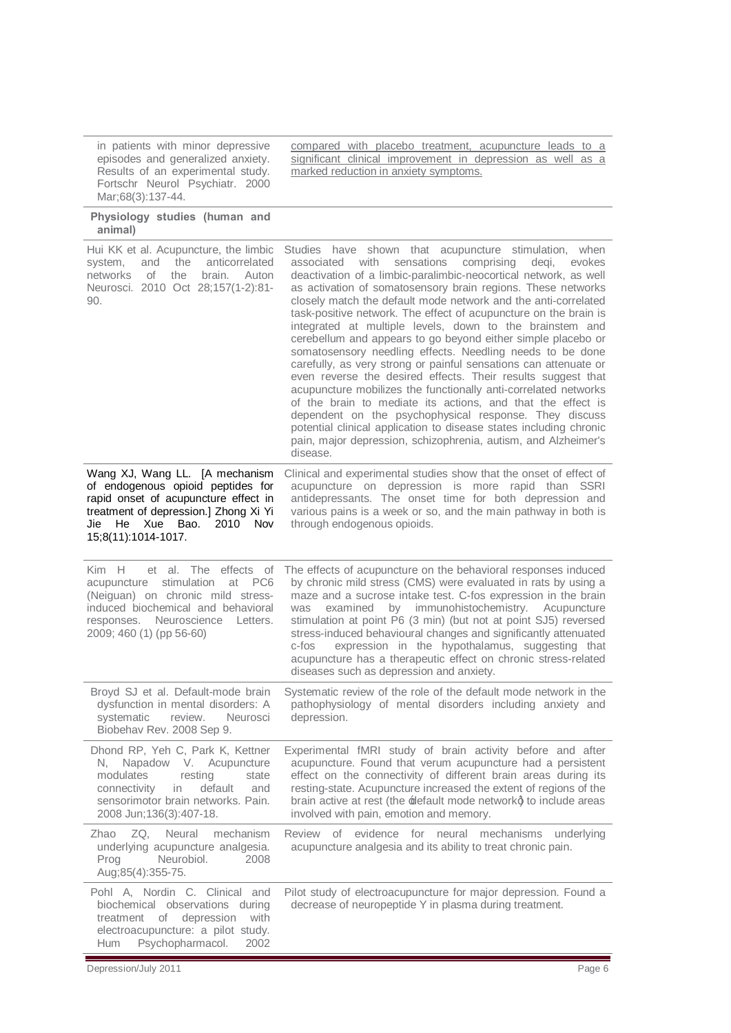in patients with minor depressive episodes and generalized anxiety. Results of an experimental study. Fortschr Neurol Psychiatr. 2000 Mar;68(3):137-44.

#### **Physiology studies (human and animal)**

[Hui KK](http://www.ncbi.nlm.nih.gov/pubmed?term=%22Hui%20KK%22%5BAuthor%5D) et al. Acupuncture, the limbic<br>system, and the anticorrelated the anticorrelated<br>the brain. Auton networks of the brain. Auton Neurosci. 2010 Oct 28;157(1-2):81-  $9<sub>0</sub>$ Studies have shown that acupuncture stimulation, when associated with sensations comprising deqi, evokes deactivation of a limbic-paralimbic-neocortical network, as well as activation of somatosensory brain regions. These networks closely match the default mode network and the anti-correlated task-positive network. The effect of acupuncture on the brain is integrated at multiple levels, down to the brainstem and cerebellum and appears to go beyond either simple placebo or somatosensory needling effects. Needling needs to be done carefully, as very strong or painful sensations can attenuate or even reverse the desired effects. Their results suggest that acupuncture mobilizes the functionally anti-correlated networks of the brain to mediate its actions, and that the effect is dependent on the psychophysical response. They discuss potential clinical application to disease states including chronic pain, major depression, schizophrenia, autism, and Alzheimer's disease. Wang XJ, Wang LL. [A mechanism of endogenous opioid peptides for rapid onset of acupuncture effect in treatment of depression.] Zhong Xi Yi Jie He Xue Bao. 2010 Nov 15;8(11):1014-1017. Clinical and experimental studies show that the onset of effect of acupuncture on depression is more rapid than SSRI antidepressants. The onset time for both depression and various pains is a week or so, and the main pathway in both is through endogenous opioids. Kim H et al. [The effects of](http://ovidsp.tx.ovid.com/sp-3.2.2/ovidweb.cgi?&S=IJNPFPOBNJDDLHOINCDLDDMCOOCMAA00&Complete+Reference=S.sh.44%7c129%7c1)  [acupuncture stimulation at PC6](http://ovidsp.tx.ovid.com/sp-3.2.2/ovidweb.cgi?&S=IJNPFPOBNJDDLHOINCDLDDMCOOCMAA00&Complete+Reference=S.sh.44%7c129%7c1)  [\(Neiguan\) on chronic mild stress](http://ovidsp.tx.ovid.com/sp-3.2.2/ovidweb.cgi?&S=IJNPFPOBNJDDLHOINCDLDDMCOOCMAA00&Complete+Reference=S.sh.44%7c129%7c1)[induced biochemical and behavioral](http://ovidsp.tx.ovid.com/sp-3.2.2/ovidweb.cgi?&S=IJNPFPOBNJDDLHOINCDLDDMCOOCMAA00&Complete+Reference=S.sh.44%7c129%7c1)  [responses.](http://ovidsp.tx.ovid.com/sp-3.2.2/ovidweb.cgi?&S=IJNPFPOBNJDDLHOINCDLDDMCOOCMAA00&Complete+Reference=S.sh.44%7c129%7c1) Neuroscience Letters. 2009; 460 (1) (pp 56-60) The effects of acupuncture on the behavioral responses induced by chronic mild stress (CMS) were evaluated in rats by using a maze and a sucrose intake test. C-fos expression in the brain was examined by immunohistochemistry. Acupuncture stimulation at point P6 (3 min) (but not at point SJ5) reversed stress-induced behavioural changes and significantly attenuated c-fos expression in the hypothalamus, suggesting that acupuncture has a therapeutic effect on chronic stress-related diseases such as depression and anxiety. Broyd SJ et al. Default-mode brain dysfunction in mental disorders: A<br>systematic review. Neurosci systematic Biobehav Rev. 2008 Sep 9. Systematic review of the role of the default mode network in the pathophysiology of mental disorders including anxiety and depression. Dhond RP, Yeh C, Park K, Kettner N, Napadow V. Acupuncture<br>modulates resting state modulates resting state connectivity in default and sensorimotor brain networks. Pain. 2008 Jun;136(3):407-18. Experimental fMRI study of brain activity before and after acupuncture. Found that verum acupuncture had a persistent effect on the connectivity of different brain areas during its resting-state. Acupuncture increased the extent of regions of the brain active at rest (the  $\pm$  efault mode networkg to include areas involved with pain, emotion and memory. Zhao ZQ, Neural mechanism underlying acupuncture analgesia. Prog Neurobiol. 2008 Aug;85(4):355-75. Review of evidence for neural mechanisms underlying acupuncture analgesia and its ability to treat chronic pain. Pohl A, Nordin C. Clinical and biochemical observations during treatment of depression with electroacupuncture: a pilot study. Hum Psychopharmacol. 2002 Pilot study of electroacupuncture for major depression. Found a decrease of neuropeptide Y in plasma during treatment.

compared with placebo treatment, acupuncture leads to a significant clinical improvement in depression as well as a

marked reduction in anxiety symptoms.

Depression/July 2011 Page 6